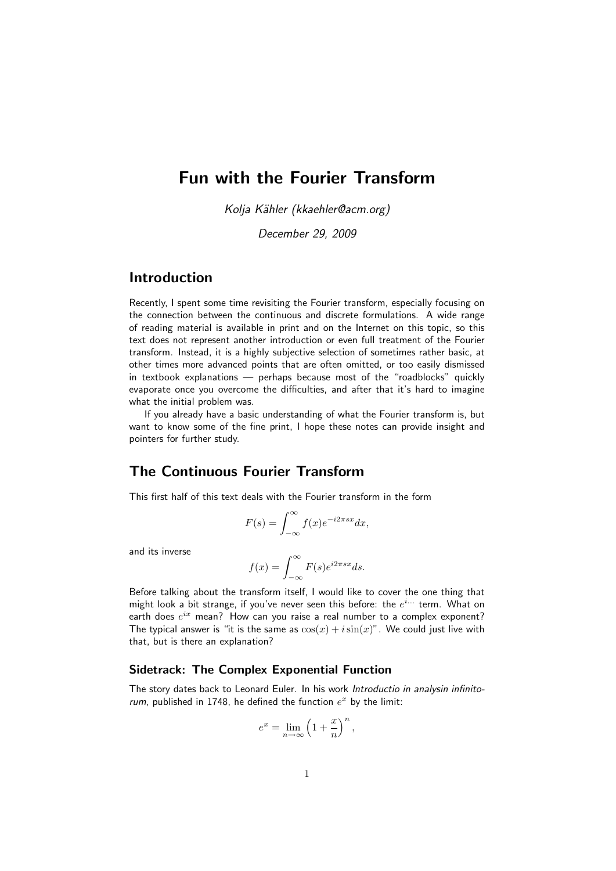# Fun with the Fourier Transform

Kolja Kähler (kkaehler@acm.org)

December 29, 2009

## Introduction

Recently, I spent some time revisiting the Fourier transform, especially focusing on the connection between the continuous and discrete formulations. A wide range of reading material is available in print and on the Internet on this topic, so this text does not represent another introduction or even full treatment of the Fourier transform. Instead, it is a highly subjective selection of sometimes rather basic, at other times more advanced points that are often omitted, or too easily dismissed in textbook explanations — perhaps because most of the "roadblocks" quickly evaporate once you overcome the difficulties, and after that it's hard to imagine what the initial problem was.

If you already have a basic understanding of what the Fourier transform is, but want to know some of the fine print, I hope these notes can provide insight and pointers for further study.

## The Continuous Fourier Transform

This first half of this text deals with the Fourier transform in the form

$$
F(s) = \int_{-\infty}^{\infty} f(x)e^{-i2\pi sx} dx,
$$

and its inverse

$$
f(x) = \int_{-\infty}^{\infty} F(s)e^{i2\pi sx} ds.
$$

Before talking about the transform itself, I would like to cover the one thing that might look a bit strange, if you've never seen this before: the  $e^{i...}$  term. What on earth does  $e^{ix}$  mean? How can you raise a real number to a complex exponent? The typical answer is "it is the same as  $\cos(x) + i \sin(x)$ ". We could just live with that, but is there an explanation?

### Sidetrack: The Complex Exponential Function

The story dates back to Leonard Euler. In his work Introductio in analysin infinitorum, published in 1748, he defined the function  $e^x$  by the limit:

$$
e^x = \lim_{n \to \infty} \left( 1 + \frac{x}{n} \right)^n,
$$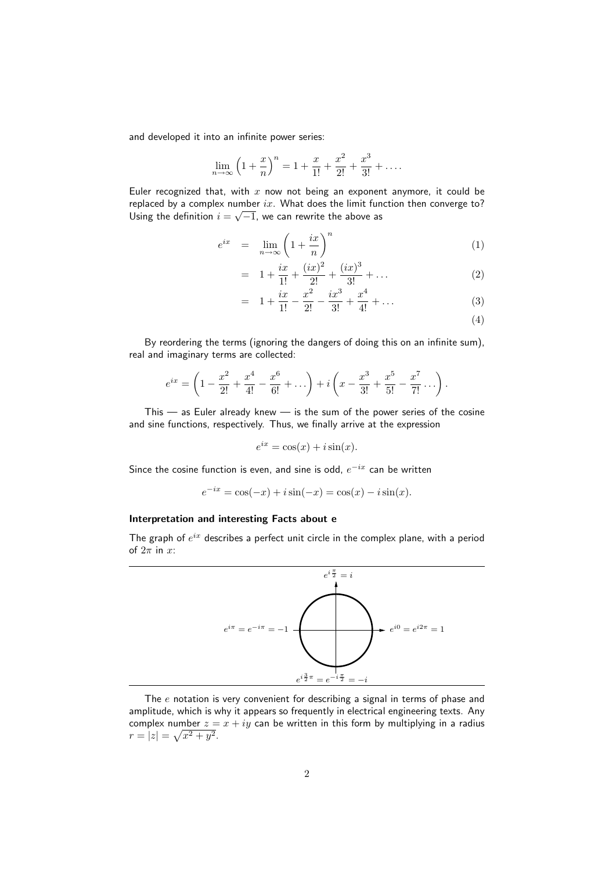and developed it into an infinite power series:

$$
\lim_{n \to \infty} \left( 1 + \frac{x}{n} \right)^n = 1 + \frac{x}{1!} + \frac{x^2}{2!} + \frac{x^3}{3!} + \dots
$$

Euler recognized that, with x now not being an exponent anymore, it could be replaced by a complex number  $ix$ . What does the limit function then converge to? Using the definition  $i=\sqrt{-1}$ , we can rewrite the above as

$$
e^{ix} = \lim_{n \to \infty} \left( 1 + \frac{ix}{n} \right)^n \tag{1}
$$

$$
= 1 + \frac{ix}{1!} + \frac{(ix)^2}{2!} + \frac{(ix)^3}{3!} + \dots
$$
 (2)

$$
= 1 + \frac{ix}{1!} - \frac{x^2}{2!} - \frac{ix^3}{3!} + \frac{x^4}{4!} + \dots
$$
 (3)

(4)

By reordering the terms (ignoring the dangers of doing this on an infinite sum), real and imaginary terms are collected:

$$
e^{ix} = \left(1 - \frac{x^2}{2!} + \frac{x^4}{4!} - \frac{x^6}{6!} + \dots\right) + i\left(x - \frac{x^3}{3!} + \frac{x^5}{5!} - \frac{x^7}{7!} + \dots\right).
$$

This — as Euler already knew — is the sum of the power series of the cosine and sine functions, respectively. Thus, we finally arrive at the expression

$$
e^{ix} = \cos(x) + i\sin(x).
$$

Since the cosine function is even, and sine is odd,  $e^{-ix}$  can be written

$$
e^{-ix} = \cos(-x) + i\sin(-x) = \cos(x) - i\sin(x).
$$

## Interpretation and interesting Facts about e

The graph of  $e^{ix}$  describes a perfect unit circle in the complex plane, with a period of  $2\pi$  in x:



The  $e$  notation is very convenient for describing a signal in terms of phase and amplitude, which is why it appears so frequently in electrical engineering texts. Any complex number  $z = x + iy$  can be written in this form by multiplying in a radius  $r = |z| = \sqrt{x^2 + y^2}.$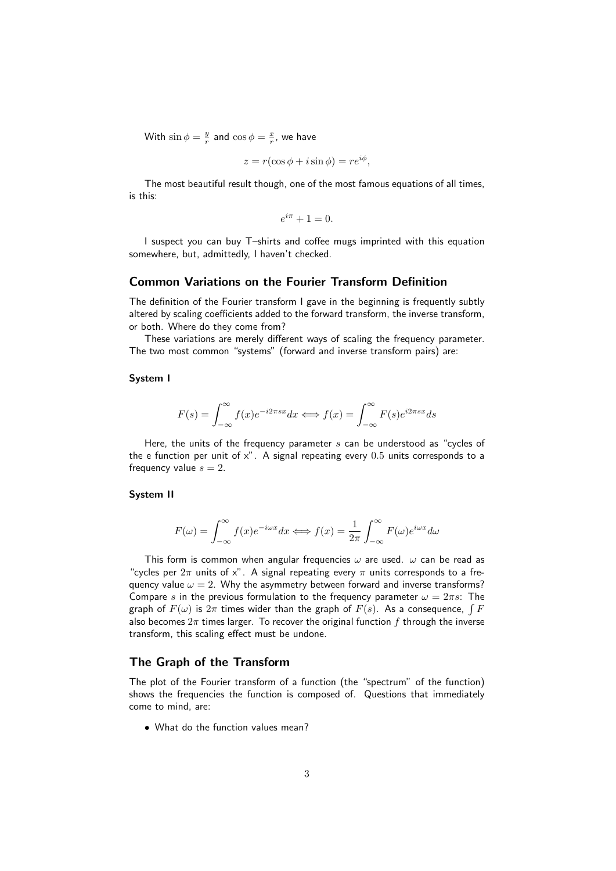With  $\sin \phi = \frac{y}{r}$  and  $\cos \phi = \frac{x}{r}$ , we have

$$
z = r(\cos\phi + i\sin\phi) = re^{i\phi},
$$

The most beautiful result though, one of the most famous equations of all times, is this:

$$
e^{i\pi} + 1 = 0.
$$

I suspect you can buy T–shirts and coffee mugs imprinted with this equation somewhere, but, admittedly, I haven't checked.

## Common Variations on the Fourier Transform Definition

The definition of the Fourier transform I gave in the beginning is frequently subtly altered by scaling coefficients added to the forward transform, the inverse transform, or both. Where do they come from?

These variations are merely different ways of scaling the frequency parameter. The two most common "systems" (forward and inverse transform pairs) are:

## System I

$$
F(s) = \int_{-\infty}^{\infty} f(x)e^{-i2\pi sx} dx \iff f(x) = \int_{-\infty}^{\infty} F(s)e^{i2\pi sx} ds
$$

Here, the units of the frequency parameter  $s$  can be understood as "cycles of the e function per unit of  $x$ ". A signal repeating every  $0.5$  units corresponds to a frequency value  $s = 2$ .

## System II

$$
F(\omega) = \int_{-\infty}^{\infty} f(x)e^{-i\omega x} dx \Longleftrightarrow f(x) = \frac{1}{2\pi} \int_{-\infty}^{\infty} F(\omega)e^{i\omega x} d\omega
$$

This form is common when angular frequencies  $\omega$  are used.  $\omega$  can be read as "cycles per  $2\pi$  units of x". A signal repeating every  $\pi$  units corresponds to a frequency value  $\omega = 2$ . Why the asymmetry between forward and inverse transforms? Compare s in the previous formulation to the frequency parameter  $\omega = 2\pi s$ : The graph of  $F(\omega)$  is  $2\pi$  times wider than the graph of  $F(s)$ . As a consequence,  $\int F$ also becomes  $2\pi$  times larger. To recover the original function f through the inverse transform, this scaling effect must be undone.

## The Graph of the Transform

The plot of the Fourier transform of a function (the "spectrum" of the function) shows the frequencies the function is composed of. Questions that immediately come to mind, are:

• What do the function values mean?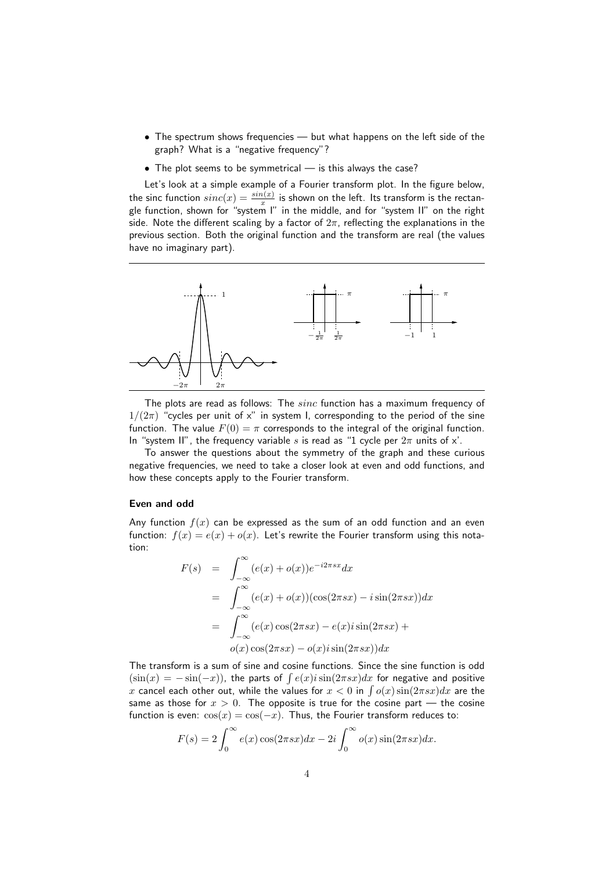- The spectrum shows frequencies but what happens on the left side of the graph? What is a "negative frequency"?
- The plot seems to be symmetrical is this always the case?

Let's look at a simple example of a Fourier transform plot. In the figure below, the sinc function  $sinc(x)=\frac{sin(x)}{x}$  is shown on the left. Its transform is the rectangle function, shown for "system I" in the middle, and for "system II" on the right side. Note the different scaling by a factor of  $2\pi$ , reflecting the explanations in the previous section. Both the original function and the transform are real (the values have no imaginary part).



The plots are read as follows: The sinc function has a maximum frequency of  $1/(2\pi)$  "cycles per unit of x" in system I, corresponding to the period of the sine function. The value  $F(0) = \pi$  corresponds to the integral of the original function. In "system II", the frequency variable s is read as "1 cycle per  $2\pi$  units of x'.

To answer the questions about the symmetry of the graph and these curious negative frequencies, we need to take a closer look at even and odd functions, and how these concepts apply to the Fourier transform.

### Even and odd

Any function  $f(x)$  can be expressed as the sum of an odd function and an even function:  $f(x) = e(x) + o(x)$ . Let's rewrite the Fourier transform using this notation:

$$
F(s) = \int_{-\infty}^{\infty} (e(x) + o(x))e^{-i2\pi sx} dx
$$
  
= 
$$
\int_{-\infty}^{\infty} (e(x) + o(x))(\cos(2\pi sx) - i\sin(2\pi sx)) dx
$$
  
= 
$$
\int_{-\infty}^{\infty} (e(x)\cos(2\pi sx) - e(x)i\sin(2\pi sx) + o(x)\cos(2\pi sx) - o(x)i\sin(2\pi sx)) dx
$$

The transform is a sum of sine and cosine functions. Since the sine function is odd  $(\sin(x) = -\sin(-x))$ , the parts of  $\int e(x)i\sin(2\pi s x)dx$  for negative and positive  $x$  cancel each other out, while the values for  $x < 0$  in  $\int o(x) \sin(2 \pi s x) dx$  are the same as those for  $x > 0$ . The opposite is true for the cosine part — the cosine function is even:  $cos(x) = cos(-x)$ . Thus, the Fourier transform reduces to:

$$
F(s) = 2 \int_0^\infty e(x) \cos(2\pi s x) dx - 2i \int_0^\infty o(x) \sin(2\pi s x) dx.
$$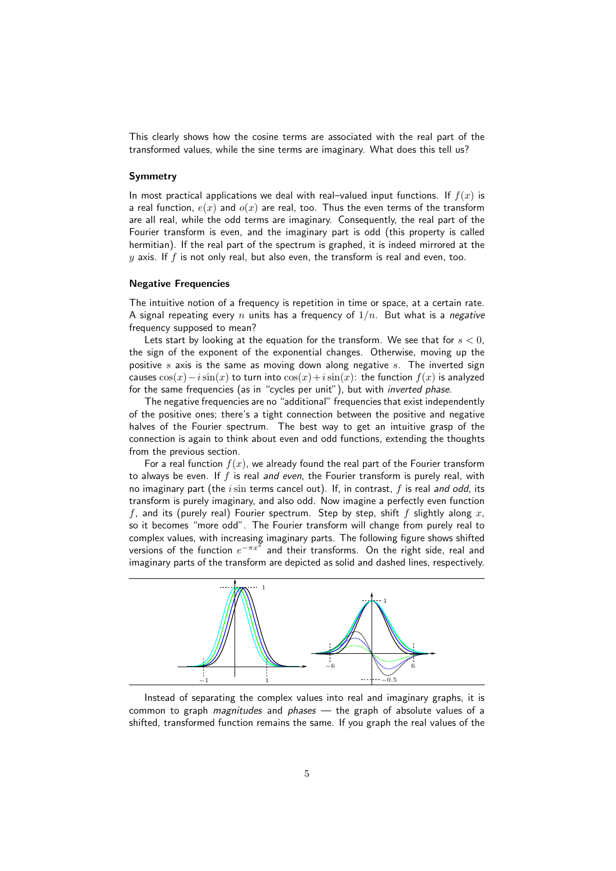This clearly shows how the cosine terms are associated with the real part of the transformed values, while the sine terms are imaginary. What does this tell us?

#### Symmetry

In most practical applications we deal with real–valued input functions. If  $f(x)$  is a real function,  $e(x)$  and  $o(x)$  are real, too. Thus the even terms of the transform are all real, while the odd terms are imaginary. Consequently, the real part of the Fourier transform is even, and the imaginary part is odd (this property is called hermitian). If the real part of the spectrum is graphed, it is indeed mirrored at the  $y$  axis. If f is not only real, but also even, the transform is real and even, too.

#### Negative Frequencies

The intuitive notion of a frequency is repetition in time or space, at a certain rate. A signal repeating every n units has a frequency of  $1/n$ . But what is a negative frequency supposed to mean?

Lets start by looking at the equation for the transform. We see that for  $s < 0$ , the sign of the exponent of the exponential changes. Otherwise, moving up the positive s axis is the same as moving down along negative s. The inverted sign causes  $cos(x) - i sin(x)$  to turn into  $cos(x) + i sin(x)$ : the function  $f(x)$  is analyzed for the same frequencies (as in "cycles per unit"), but with *inverted phase*.

The negative frequencies are no "additional" frequencies that exist independently of the positive ones; there's a tight connection between the positive and negative halves of the Fourier spectrum. The best way to get an intuitive grasp of the connection is again to think about even and odd functions, extending the thoughts from the previous section.

For a real function  $f(x)$ , we already found the real part of the Fourier transform to always be even. If  $f$  is real and even, the Fourier transform is purely real, with no imaginary part (the  $i\sin$  terms cancel out). If, in contrast,  $f$  is real and odd, its transform is purely imaginary, and also odd. Now imagine a perfectly even function f, and its (purely real) Fourier spectrum. Step by step, shift f slightly along  $x$ , so it becomes "more odd". The Fourier transform will change from purely real to complex values, with increasing imaginary parts. The following figure shows shifted versions of the function  $e^{-\pi x^2}$  and their transforms. On the right side, real and imaginary parts of the transform are depicted as solid and dashed lines, respectively.



Instead of separating the complex values into real and imaginary graphs, it is common to graph *magnitudes* and *phases* — the graph of absolute values of a shifted, transformed function remains the same. If you graph the real values of the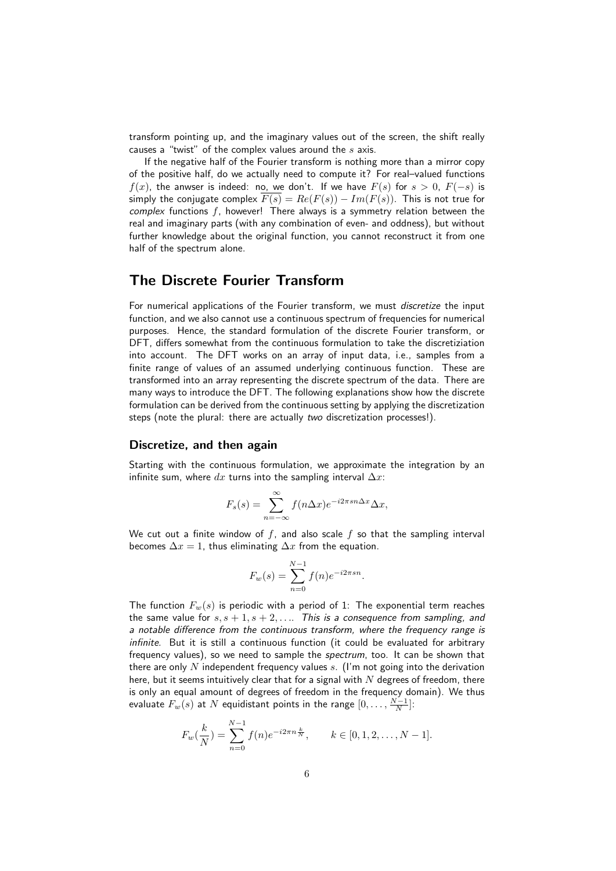transform pointing up, and the imaginary values out of the screen, the shift really causes a "twist" of the complex values around the  $s$  axis.

If the negative half of the Fourier transform is nothing more than a mirror copy of the positive half, do we actually need to compute it? For real–valued functions  $f(x)$ , the anwser is indeed: no, we don't. If we have  $F(s)$  for  $s > 0$ ,  $F(-s)$  is simply the conjugate complex  $\overline{F(s)} = Re(F(s)) - Im(F(s))$ . This is not true for complex functions  $f$ , however! There always is a symmetry relation between the real and imaginary parts (with any combination of even- and oddness), but without further knowledge about the original function, you cannot reconstruct it from one half of the spectrum alone.

## The Discrete Fourier Transform

For numerical applications of the Fourier transform, we must discretize the input function, and we also cannot use a continuous spectrum of frequencies for numerical purposes. Hence, the standard formulation of the discrete Fourier transform, or DFT, differs somewhat from the continuous formulation to take the discretiziation into account. The DFT works on an array of input data, i.e., samples from a finite range of values of an assumed underlying continuous function. These are transformed into an array representing the discrete spectrum of the data. There are many ways to introduce the DFT. The following explanations show how the discrete formulation can be derived from the continuous setting by applying the discretization steps (note the plural: there are actually two discretization processes!).

### Discretize, and then again

Starting with the continuous formulation, we approximate the integration by an infinite sum, where  $dx$  turns into the sampling interval  $\Delta x$ :

$$
F_s(s) = \sum_{n = -\infty}^{\infty} f(n\Delta x) e^{-i2\pi s n \Delta x} \Delta x,
$$

We cut out a finite window of f, and also scale f so that the sampling interval becomes  $\Delta x = 1$ , thus eliminating  $\Delta x$  from the equation.

$$
F_w(s) = \sum_{n=0}^{N-1} f(n)e^{-i2\pi sn}.
$$

The function  $F_w(s)$  is periodic with a period of 1: The exponential term reaches the same value for  $s, s + 1, s + 2, \ldots$  This is a consequence from sampling, and a notable difference from the continuous transform, where the frequency range is infinite. But it is still a continuous function (it could be evaluated for arbitrary frequency values), so we need to sample the *spectrum*, too. It can be shown that there are only N independent frequency values s. (I'm not going into the derivation here, but it seems intuitively clear that for a signal with  $N$  degrees of freedom, there is only an equal amount of degrees of freedom in the frequency domain). We thus evaluate  $F_w(s)$  at  $N$  equidistant points in the range  $[0,\ldots,\frac{N-1}{N}].$ 

$$
F_w(\frac{k}{N}) = \sum_{n=0}^{N-1} f(n) e^{-i2\pi n \frac{k}{N}}, \qquad k \in [0, 1, 2, \dots, N-1].
$$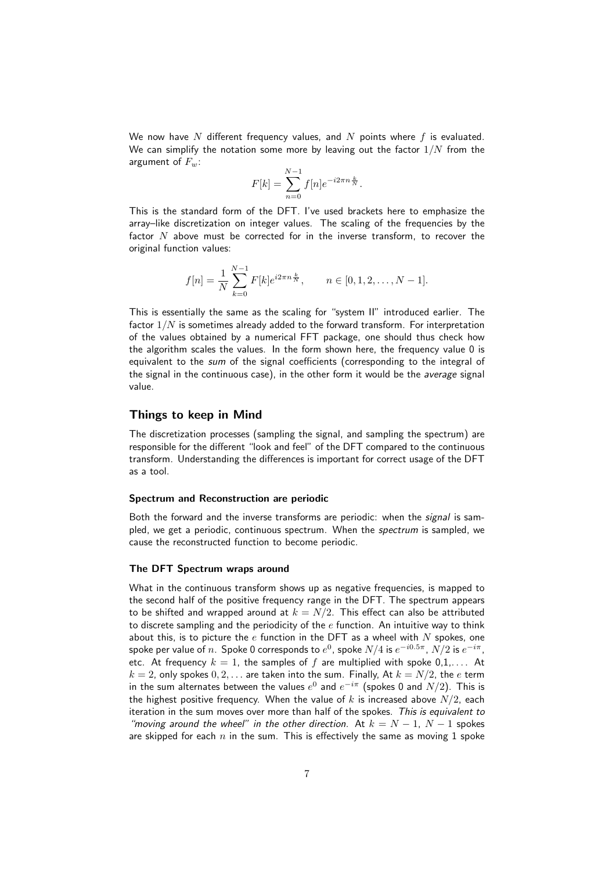We now have N different frequency values, and N points where  $f$  is evaluated. We can simplify the notation some more by leaving out the factor  $1/N$  from the argument of  $F_w$ :

$$
F[k] = \sum_{n=0}^{N-1} f[n] e^{-i2\pi n \frac{k}{N}}.
$$

This is the standard form of the DFT. I've used brackets here to emphasize the array–like discretization on integer values. The scaling of the frequencies by the factor  $N$  above must be corrected for in the inverse transform, to recover the original function values:

$$
f[n] = \frac{1}{N} \sum_{k=0}^{N-1} F[k] e^{i2\pi n \frac{k}{N}}, \qquad n \in [0, 1, 2, \dots, N-1].
$$

This is essentially the same as the scaling for "system II" introduced earlier. The factor  $1/N$  is sometimes already added to the forward transform. For interpretation of the values obtained by a numerical FFT package, one should thus check how the algorithm scales the values. In the form shown here, the frequency value 0 is equivalent to the *sum* of the signal coefficients (corresponding to the integral of the signal in the continuous case), in the other form it would be the average signal value.

### Things to keep in Mind

The discretization processes (sampling the signal, and sampling the spectrum) are responsible for the different "look and feel" of the DFT compared to the continuous transform. Understanding the differences is important for correct usage of the DFT as a tool.

#### Spectrum and Reconstruction are periodic

Both the forward and the inverse transforms are periodic: when the *signal* is sampled, we get a periodic, continuous spectrum. When the *spectrum* is sampled, we cause the reconstructed function to become periodic.

#### The DFT Spectrum wraps around

What in the continuous transform shows up as negative frequencies, is mapped to the second half of the positive frequency range in the DFT. The spectrum appears to be shifted and wrapped around at  $k = N/2$ . This effect can also be attributed to discrete sampling and the periodicity of the  $e$  function. An intuitive way to think about this, is to picture the  $e$  function in the DFT as a wheel with  $N$  spokes, one spoke per value of  $n.$  Spoke 0 corresponds to  $e^0$ , spoke  $N/4$  is  $e^{-i0.5\pi},\,N/2$  is  $e^{-i\pi},$ etc. At frequency  $k = 1$ , the samples of f are multiplied with spoke  $0,1,...$  At  $k = 2$ , only spokes  $0, 2, \ldots$  are taken into the sum. Finally, At  $k = N/2$ , the e term in the sum alternates between the values  $e^0$  and  $e^{-i\pi}$  (spokes 0 and  $N/2)$ . This is the highest positive frequency. When the value of k is increased above  $N/2$ , each iteration in the sum moves over more than half of the spokes. This is equivalent to "moving around the wheel" in the other direction. At  $k = N - 1$ ,  $N - 1$  spokes are skipped for each  $n$  in the sum. This is effectively the same as moving 1 spoke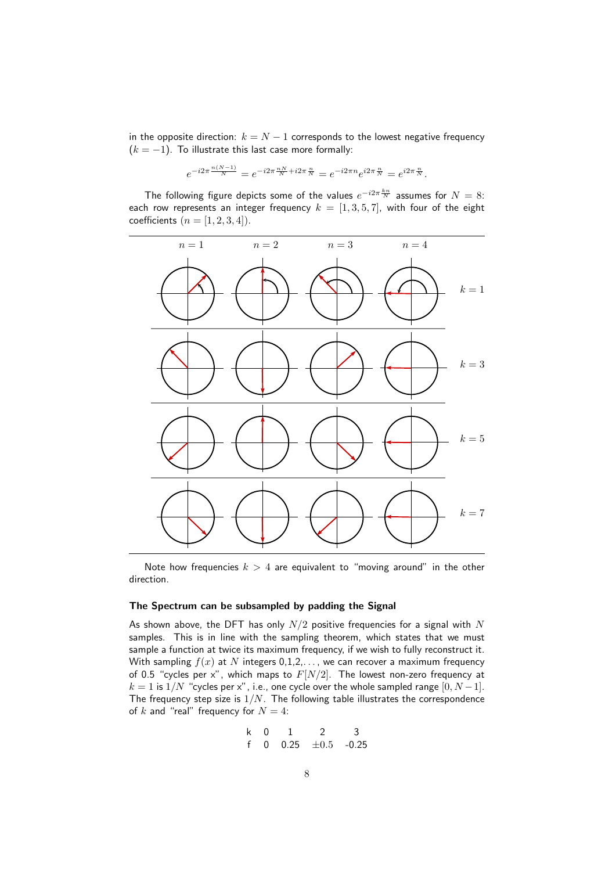in the opposite direction:  $k = N - 1$  corresponds to the lowest negative frequency  $(k = -1)$ . To illustrate this last case more formally:

$$
e^{-i2\pi\frac{n(N-1)}{N}}=e^{-i2\pi\frac{nN}{N}+i2\pi\frac{n}{N}}=e^{-i2\pi n}e^{i2\pi\frac{n}{N}}=e^{i2\pi\frac{n}{N}}.
$$

The following figure depicts some of the values  $e^{-i2\pi\frac{kn}{N}}$  assumes for  $N=8$ : each row represents an integer frequency  $k = [1, 3, 5, 7]$ , with four of the eight coefficients  $(n = [1, 2, 3, 4])$ .



Note how frequencies  $k > 4$  are equivalent to "moving around" in the other direction.

#### The Spectrum can be subsampled by padding the Signal

As shown above, the DFT has only  $N/2$  positive frequencies for a signal with  $N$ samples. This is in line with the sampling theorem, which states that we must sample a function at twice its maximum frequency, if we wish to fully reconstruct it. With sampling  $f(x)$  at N integers 0,1,2,..., we can recover a maximum frequency of 0.5 "cycles per x", which maps to  $F[N/2]$ . The lowest non-zero frequency at  $k = 1$  is  $1/N$  "cycles per x", i.e., one cycle over the whole sampled range  $[0, N - 1]$ . The frequency step size is  $1/N$ . The following table illustrates the correspondence of k and "real" frequency for  $N = 4$ :

$$
\begin{array}{cccccc}\n k & 0 & 1 & 2 & 3 \\
f & 0 & 0.25 & \pm 0.5 & -0.25\n\end{array}
$$